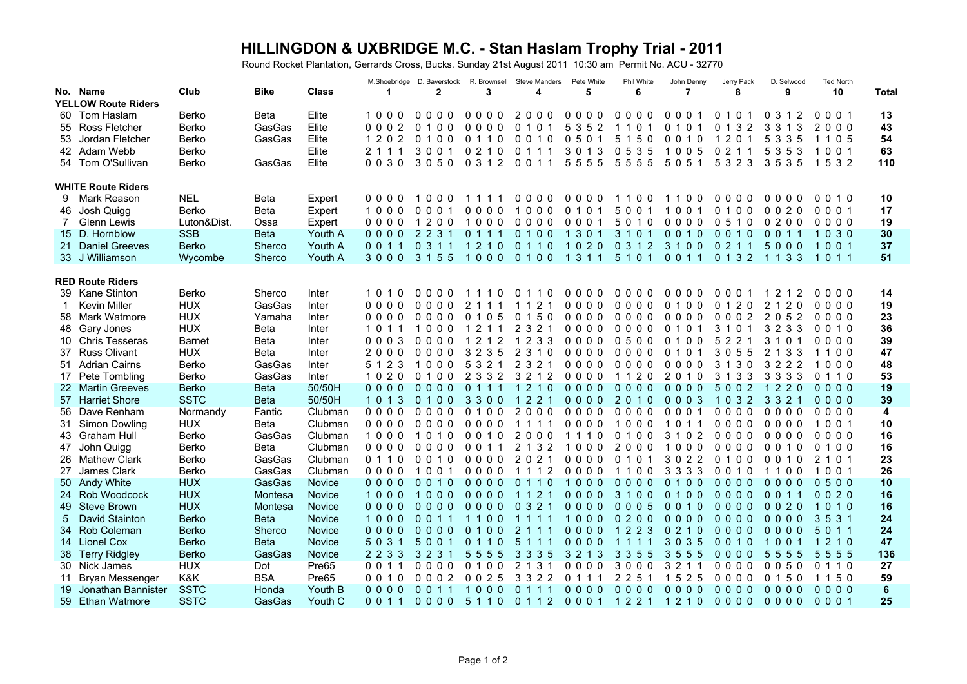## **HILLINGDON & UXBRIDGE M.C. - Stan Haslam Trophy Trial - 2011**

Round Rocket Plantation, Gerrards Cross, Bucks. Sunday 21st August 2011 10:30 am Permit No. ACU - 32770

|                            |                           |               |             |               | M.Shoebridge | D. Baverstock                              | R. Brownsell                                         | Steve Manders                                   | Pete White              | Phil White                         | John Denny                       | Jerry Pack                                                   | D. Selwood                                            | Ted North             |                 |
|----------------------------|---------------------------|---------------|-------------|---------------|--------------|--------------------------------------------|------------------------------------------------------|-------------------------------------------------|-------------------------|------------------------------------|----------------------------------|--------------------------------------------------------------|-------------------------------------------------------|-----------------------|-----------------|
|                            | No. Name                  | Club          | <b>Bike</b> | <b>Class</b>  | -1           | 2                                          | 3                                                    | 4                                               | 5                       | 6                                  | 7                                | 8                                                            | 9                                                     | 10                    | Total           |
| <b>YELLOW Route Riders</b> |                           |               |             |               |              |                                            |                                                      |                                                 |                         |                                    |                                  |                                                              |                                                       |                       |                 |
|                            | 60 Tom Haslam             | Berko         | <b>Beta</b> | Elite         | 1000         | 0000                                       | 0000                                                 | 2<br>000                                        | 0000                    | 0000                               | 000                              | 10<br>0                                                      | 3<br>2<br>0                                           | 001<br>0              | 13              |
|                            | 55 Ross Fletcher          | Berko         | GasGas      | Elite         | 0002         | 0 <sub>1</sub><br>$\mathbf{0}$<br>$\Omega$ | $\mathbf{0}$<br>$\Omega$<br>$\Omega$<br>$\mathbf{0}$ | $\mathbf{0}$<br>$\mathbf{0}$<br>1               | 5<br>3<br>5<br>2        | 0<br>-1                            | 010                              | $\overline{2}$<br>$\Omega$<br>3                              | 3<br>3<br>3                                           | $\overline{2}$<br>000 | 43              |
| 53                         | Jordan Fletcher           | Berko         | GasGas      | Elite         | 1 2 0 2      | 0100                                       | $\mathbf{0}$<br>0<br>11                              | $\mathbf{0}$<br>$0 1 0$                         | 050                     | 5 1 5 0                            | 0010                             | 201<br>1                                                     | 5 3 3 5                                               | 1105                  | 54              |
|                            | 42 Adam Webb              | Berko         |             | Elite         | 2 1 1        | 3001                                       | 0 <sub>2</sub><br>0                                  | 0<br>1<br>-1                                    | 3 0 1<br>3              | 35<br>0<br>5                       | 1005                             | 0 <sub>2</sub><br>1                                          | 5<br>35<br>3                                          | 1001                  | 63              |
|                            | 54 Tom O'Sullivan         | Berko         | GasGas      | Elite         | 0030         | 3050                                       | 0 3 1 2                                              | 0011                                            | 5555                    | 5<br>555                           | 5051                             | 3 2 3<br>5                                                   | 3535                                                  | 5 3 2<br>$\mathbf{1}$ | 110             |
|                            |                           |               |             |               |              |                                            |                                                      |                                                 |                         |                                    |                                  |                                                              |                                                       |                       |                 |
|                            |                           |               |             |               |              |                                            |                                                      |                                                 |                         |                                    |                                  |                                                              |                                                       |                       |                 |
|                            | <b>WHITE Route Riders</b> |               |             |               |              |                                            |                                                      |                                                 |                         |                                    |                                  |                                                              |                                                       |                       |                 |
| 9                          | Mark Reason               | <b>NEL</b>    | <b>Beta</b> | Expert        | 0000         | 000<br>1                                   | -1<br>11                                             | 0 <sub>0</sub><br>0 O                           | $\Omega$<br>000         | $\Omega$<br>-1<br>- 0              | 0 O<br>-1                        | $\Omega$<br>000                                              | 0 O<br>0 O                                            | 010<br>$\Omega$       | 10              |
| 46                         | Josh Quigg                | Berko         | <b>Beta</b> | Expert        | 1000         | 000                                        | 0000                                                 | 1000                                            | 0 1 0 1                 | 5001                               | 100<br>$\overline{1}$            | 0100                                                         | 0020                                                  | 0001                  | 17              |
| 7                          | <b>Glenn Lewis</b>        | Luton&Dist.   | Ossa        | Expert        | 0000         | 1 <sub>2</sub><br>0 <sub>0</sub>           | 000                                                  | 0000                                            | 0001                    | 5010                               | 0000                             | 0 5 1 0                                                      | 0200                                                  | 0000                  | 19              |
|                            | 15 D. Hornblow            | <b>SSB</b>    | <b>Beta</b> | Youth A       | 0000         | 2 <sub>2</sub><br>3<br>$\overline{1}$      | $\mathbf{0}$<br>1 1 1                                | 0100                                            | $\overline{1}$<br>3 0 1 | 3 1 0 1                            | 0010                             | 0010                                                         | 0 0 1 1                                               | 1030                  | 30              |
|                            | 21 Daniel Greeves         | <b>Berko</b>  | Sherco      | Youth A       | 0 0 1 1      | 0 3 1 1                                    | 1210                                                 | 0110                                            | 1020                    | 0 3 1 2                            | 3100                             | 0 2 1 1                                                      | 5000                                                  | 1001                  | 37              |
|                            | 33 J Williamson           | Wycombe       | Sherco      | Youth A       | 3000         | 3 1 5 5                                    | 1000                                                 | 0100                                            | $\overline{1}$<br>3 1 1 | 5 1 0 1                            | 0 0 1 1                          | 0 1 3 2                                                      | 1 1 3 3                                               | 1011                  | 51              |
|                            |                           |               |             |               |              |                                            |                                                      |                                                 |                         |                                    |                                  |                                                              |                                                       |                       |                 |
|                            | <b>RED Route Riders</b>   |               |             |               |              |                                            |                                                      |                                                 |                         |                                    |                                  |                                                              |                                                       |                       |                 |
|                            | 39 Kane Stinton           | Berko         | Sherco      | Inter         | 1010         | 0000                                       | 110                                                  | 0<br>11<br>0                                    | 0000                    | 0000                               | 0000                             | 0001                                                         | 2<br>2<br>$\overline{1}$<br>-1                        | 0000                  | 14              |
| -1                         | <b>Kevin Miller</b>       | <b>HUX</b>    | GasGas      | Inter         | 0000         | 0000                                       | 2<br>-1                                              | $\overline{2}$<br>$\mathbf 1$<br>$\overline{1}$ | 0000                    | 0000                               | 0 1 0 0                          | $\mathbf{0}$<br>$\overline{2}$<br>$\Omega$<br>$\overline{1}$ | $\overline{2}$<br>$\overline{2}$<br>$\mathbf{0}$<br>1 | 0000                  | 19              |
|                            | 58 Mark Watmore           | <b>HUX</b>    | Yamaha      | Inter         | 0000         | 0000                                       | 0<br>105                                             | 0150                                            | 0000                    | 0000                               | 0000                             | 0002                                                         | 2052                                                  | 0000                  | 23              |
| 48                         | Gary Jones                | <b>HUX</b>    | Beta        | Inter         | 1011         | 1000                                       | 2                                                    | 3 2 1<br>2                                      | 0000                    | 0000                               | 0 1 0                            | 3<br>0<br>-1                                                 | 3 2 3 3                                               | 0010                  | 36              |
| 10                         | <b>Chris Tesseras</b>     | <b>Barnet</b> | <b>Beta</b> | Inter         | 0003         | 0000                                       | $\overline{2}$<br>$\overline{2}$<br>1                | 2 3 3<br>$\mathbf{1}$                           | 0000                    | 0500                               | 0100                             | 5<br>$\overline{2}$<br>2 <sub>1</sub>                        | 3<br>$\mathbf 1$<br>$\Omega$                          | 0000                  | 39              |
|                            | 37 Russ Olivant           | <b>HUX</b>    | <b>Beta</b> | Inter         | 2000         | 0000                                       | 3 2 3 5                                              | 2 3 1 0                                         | 0000                    | 0000                               | 0 1 0 1                          | 3055                                                         | 2 1 3 3                                               | 1100                  | 47              |
| 51                         | <b>Adrian Cairns</b>      | Berko         | GasGas      | Inter         | 5 1 2 3      | 1000                                       | 5<br>3<br>2                                          | 2<br>3<br>2                                     | 0000                    | 0000                               | 0000                             | 3<br>30<br>-1                                                | 3<br>2<br>2<br>2                                      | $000$<br>1            | 48              |
| 17                         | Pete Tombling             | Berko         | GasGas      | Inter         | 1 0 2 0      | 0 <sub>0</sub><br>0 <sub>1</sub>           | $\overline{2}$<br>2<br>3<br>3                        | 2 1 2<br>3                                      | 0000                    | 20<br>$\mathbf{1}$<br>$\mathbf{1}$ | 2 <sub>0</sub><br>1 <sub>0</sub> | 3<br>3<br>3<br>$\mathbf 1$                                   | 3 3 3<br>3                                            | 0110                  | 53              |
|                            |                           |               |             | 50/50H        |              |                                            |                                                      |                                                 |                         |                                    |                                  |                                                              |                                                       |                       |                 |
|                            | 22 Martin Greeves         | <b>Berko</b>  | <b>Beta</b> |               | 0000         | 0000                                       | 0 1 1 1                                              | 1 2 1 0                                         | $0000$                  | 0000                               | $0000$                           | 5002                                                         | 1 2 2 0                                               | 0000                  | 19              |
|                            | 57 Harriet Shore          | <b>SSTC</b>   | <b>Beta</b> | 50/50H        | 1 0 1 3      | 0 1 0 0                                    | 3<br>300                                             | 1 <sub>2</sub><br>$\overline{2}$                | 0000                    | 2 0 1 0                            | 0003                             | 032<br>$\mathbf{1}$                                          | 3 3 2 1                                               | 0000                  | 39              |
| 56                         | Dave Renham               | Normandy      | Fantic      | Clubman       | 0000         | 0000                                       | $\Omega$<br>0<br>0<br>-1                             | 20<br>0 <sub>0</sub>                            | 0000                    | 0000                               | 000<br>$\overline{1}$            | $\Omega$<br>$\overline{0}$<br>0 <sub>0</sub>                 | 0<br>$000$                                            | 0000                  | $\overline{4}$  |
| 31                         | Simon Dowling             | <b>HUX</b>    | <b>Beta</b> | Clubman       | 0000         | 0000                                       | 0000                                                 | 1111                                            | 0000                    | 1000                               | 101<br>$\overline{\mathbf{1}}$   | 0000                                                         | 0000                                                  | 1001                  | 10              |
| 43                         | Graham Hull               | Berko         | GasGas      | Clubman       | 1000         | 10<br>10                                   | 10<br>00                                             | 2000                                            | 1110                    | $\mathbf 0$<br>00<br>1             | 3 1 0 2                          | 0000                                                         | 0000                                                  | 0000                  | 16              |
| 47                         | John Quigg                | Berko         | <b>Beta</b> | Clubman       | 0000         | 0000                                       | 0<br>$\Omega$<br>11                                  | 2 <sub>1</sub><br>3 <sub>2</sub>                | -1<br>000               | 2000                               | 000<br>1                         | $\mathbf{0}$<br>000                                          | 0 <sub>0</sub><br>10                                  | 0 1 0 0               | 16              |
|                            | 26 Mathew Clark           | Berko         | GasGas      | Clubman       | 0 1 1 0      | 0010                                       | 0000                                                 | 2021                                            | 0000                    | 1 0 1<br>0                         | 3022                             | 0100                                                         | 0010                                                  | 2 1 0 1               | 23              |
| 27                         | James Clark               | Berko         | GasGas      | Clubman       | 0000         | 100                                        | 0000                                                 | 1112                                            | 0000                    | 1100                               | 3 3 3 3                          | 0 0 1 0                                                      | 1100                                                  | 1001                  | 26              |
| 50                         | <b>Andy White</b>         | <b>HUX</b>    | GasGas      | Novice        | 0000         | 0010                                       | 0 <sub>0</sub><br>0 <sub>0</sub>                     | $\mathbf{0}$<br>110                             | $\overline{1}$<br>000   | 000<br>$\Omega$                    | 0 <sub>0</sub><br>0 <sub>1</sub> | 0000                                                         | 0000                                                  | 0500                  | 10              |
|                            | 24 Rob Woodcock           | <b>HUX</b>    | Montesa     | Novice        | 1000         | 1000                                       | 0000                                                 | 1 1 2 1                                         | 0000                    | 3100                               | 0100                             | 0000                                                         | 0011                                                  | 0020                  | 16              |
| 49                         | <b>Steve Brown</b>        | <b>HUX</b>    | Montesa     | Novice        | 0000         | 0000                                       | 0000                                                 | 0321                                            | 0000                    | 0005                               | 0010                             | $0000$                                                       | 0020                                                  | $0 1 0$               | 16              |
| 5                          | David Stainton            | <b>Berko</b>  | <b>Beta</b> | <b>Novice</b> | 1000         | 0 O                                        | 0 <sub>0</sub><br>-1                                 | 1 1 1 1                                         | 000<br>$\overline{1}$   | 200<br>$\Omega$                    | 0000                             | $\mathbf{0}$<br>000                                          | $0000$                                                | 3<br>5 3 1            | 24              |
|                            | 34 Rob Coleman            | <b>Berko</b>  | Sherco      | Novice        | 0000         | 0000                                       | 0100                                                 | 2 1 1                                           | 0000                    | 1 2 2 3                            | 0210                             | $0000$                                                       | 0000                                                  | 5 0 1 1               | 24              |
|                            | 14 Lionel Cox             | Berko         | <b>Beta</b> | Novice        | 503          | 5<br>0 <sub>0</sub>                        | $\mathbf{0}$<br>$\mathbf 0$                          | 5<br>1<br>-1                                    | 0000                    |                                    | 303<br>5                         | 0 <sub>0</sub><br>10                                         | $\Omega$<br>$\Omega$                                  | 2 1 0                 | 47              |
| 38                         | <b>Terry Ridgley</b>      | Berko         | GasGas      | Novice        | 2 2 3 3      | 3 <sub>2</sub><br>3<br>$\overline{1}$      | 5<br>5<br>5 5                                        | 3<br>3<br>$3\overline{5}$                       | 3<br>2 1 3              | 3<br>355                           | 3<br>$5\overline{5}$<br>5<br>-5  | 0 <sub>0</sub><br>$\mathbf{0}$<br>$\mathbf{0}$               | 5<br>5<br>5<br>5                                      | 5<br>555              | 136             |
|                            | 30 Nick James             | <b>HUX</b>    | Dot         | Pre65         | 0 0 1 1      | 0000                                       | 0100                                                 | 2 <sub>1</sub><br>3 <sub>1</sub>                | 0000                    | 3000                               | 3 2 1<br>$\overline{1}$          | 0000                                                         | 0050                                                  | 0 1 1 0               | 27              |
|                            | <b>Bryan Messenger</b>    | K&K           | <b>BSA</b>  | Pre65         | 0010         | 00002                                      | 0025                                                 | 3 3 2 2                                         | 0 1 1 1                 | 2 2 5 1                            | 1 5 2 5                          | 0000                                                         | 0 1 5 0                                               | 1 1 5 0               | 59              |
| 11                         |                           |               |             |               |              |                                            |                                                      |                                                 |                         |                                    |                                  |                                                              |                                                       |                       | $6\phantom{1}6$ |
| 19                         | Jonathan Bannister        | <b>SSTC</b>   | Honda       | Youth B       | 0000         | 0 <sub>0</sub>                             | $\Omega$<br>$\mathbf{0}$<br>$\mathbf{0}$             | $\mathbf{0}$<br>1 1                             | 0000                    | $\Omega$<br>000                    | $0000$                           | $\mathbf{0}$<br>000                                          | $0000$                                                | $0000$                |                 |
|                            | 59 Ethan Watmore          | <b>SSTC</b>   | GasGas      | Youth C       | 0011         | 0000                                       | 5110 0112                                            |                                                 | 0001                    | 1221                               | 1210                             | 0000                                                         | $0000$                                                | 0001                  | 25              |